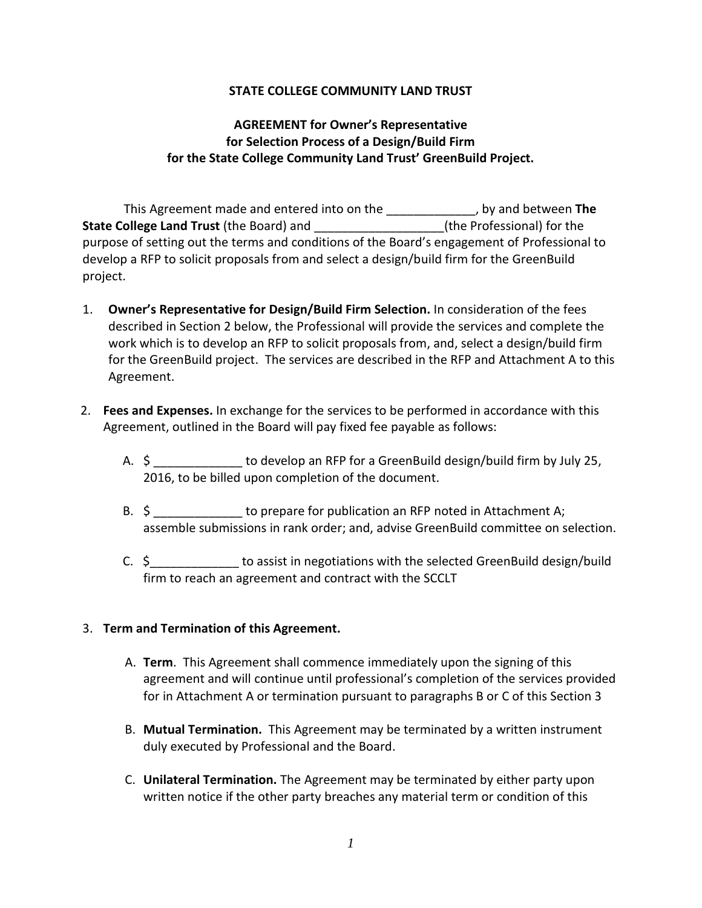#### **STATE COLLEGE COMMUNITY LAND TRUST**

# **AGREEMENT for Owner's Representative for Selection Process of a Design/Build Firm for the State College Community Land Trust' GreenBuild Project.**

This Agreement made and entered into on the \_\_\_\_\_\_\_\_\_\_\_\_\_, by and between **The State College Land Trust** (the Board) and \_\_\_\_\_\_\_\_\_\_\_\_\_\_\_\_\_\_\_(the Professional) for the purpose of setting out the terms and conditions of the Board's engagement of Professional to develop a RFP to solicit proposals from and select a design/build firm for the GreenBuild project.

- 1. **Owner's Representative for Design/Build Firm Selection.** In consideration of the fees described in Section 2 below, the Professional will provide the services and complete the work which is to develop an RFP to solicit proposals from, and, select a design/build firm for the GreenBuild project. The services are described in the RFP and Attachment A to this Agreement.
- 2. **Fees and Expenses.** In exchange for the services to be performed in accordance with this Agreement, outlined in the Board will pay fixed fee payable as follows:
	- A.  $\zeta$  to develop an RFP for a GreenBuild design/build firm by July 25, 2016, to be billed upon completion of the document.
	- B.  $\oint$  5  $\frac{1}{2}$  to prepare for publication an RFP noted in Attachment A; assemble submissions in rank order; and, advise GreenBuild committee on selection.
	- C. \$ to assist in negotiations with the selected GreenBuild design/build firm to reach an agreement and contract with the SCCLT

## 3. **Term and Termination of this Agreement.**

- A. **Term**. This Agreement shall commence immediately upon the signing of this agreement and will continue until professional's completion of the services provided for in Attachment A or termination pursuant to paragraphs B or C of this Section 3
- B. **Mutual Termination.** This Agreement may be terminated by a written instrument duly executed by Professional and the Board.
- C. **Unilateral Termination.** The Agreement may be terminated by either party upon written notice if the other party breaches any material term or condition of this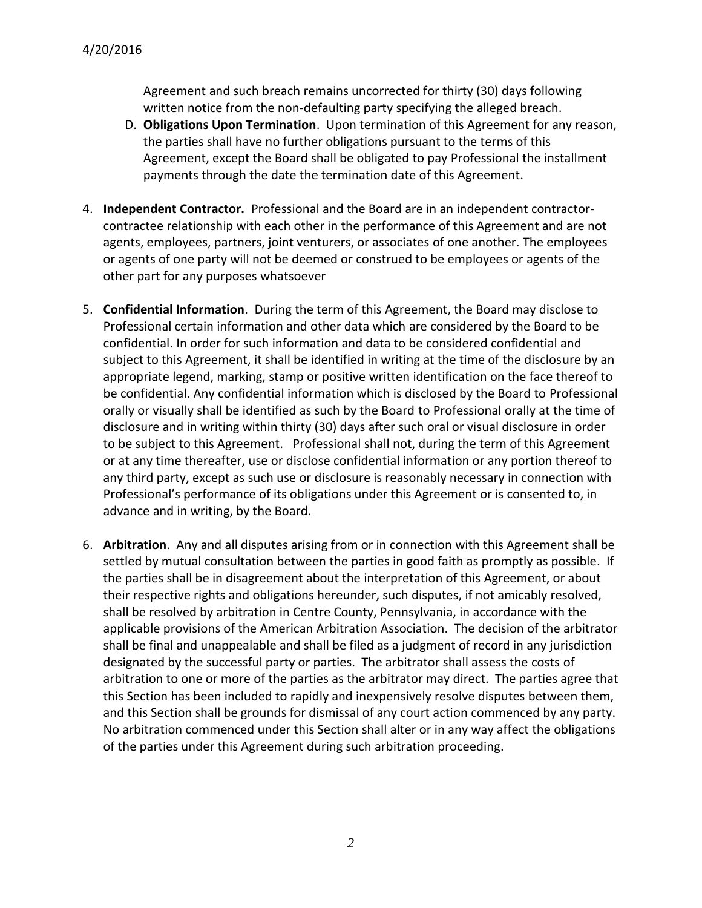Agreement and such breach remains uncorrected for thirty (30) days following written notice from the non-defaulting party specifying the alleged breach.

- D. **Obligations Upon Termination**. Upon termination of this Agreement for any reason, the parties shall have no further obligations pursuant to the terms of this Agreement, except the Board shall be obligated to pay Professional the installment payments through the date the termination date of this Agreement.
- 4. **Independent Contractor.** Professional and the Board are in an independent contractorcontractee relationship with each other in the performance of this Agreement and are not agents, employees, partners, joint venturers, or associates of one another. The employees or agents of one party will not be deemed or construed to be employees or agents of the other part for any purposes whatsoever
- 5. **Confidential Information**. During the term of this Agreement, the Board may disclose to Professional certain information and other data which are considered by the Board to be confidential. In order for such information and data to be considered confidential and subject to this Agreement, it shall be identified in writing at the time of the disclosure by an appropriate legend, marking, stamp or positive written identification on the face thereof to be confidential. Any confidential information which is disclosed by the Board to Professional orally or visually shall be identified as such by the Board to Professional orally at the time of disclosure and in writing within thirty (30) days after such oral or visual disclosure in order to be subject to this Agreement. Professional shall not, during the term of this Agreement or at any time thereafter, use or disclose confidential information or any portion thereof to any third party, except as such use or disclosure is reasonably necessary in connection with Professional's performance of its obligations under this Agreement or is consented to, in advance and in writing, by the Board.
- 6. **Arbitration**. Any and all disputes arising from or in connection with this Agreement shall be settled by mutual consultation between the parties in good faith as promptly as possible. If the parties shall be in disagreement about the interpretation of this Agreement, or about their respective rights and obligations hereunder, such disputes, if not amicably resolved, shall be resolved by arbitration in Centre County, Pennsylvania, in accordance with the applicable provisions of the American Arbitration Association. The decision of the arbitrator shall be final and unappealable and shall be filed as a judgment of record in any jurisdiction designated by the successful party or parties. The arbitrator shall assess the costs of arbitration to one or more of the parties as the arbitrator may direct. The parties agree that this Section has been included to rapidly and inexpensively resolve disputes between them, and this Section shall be grounds for dismissal of any court action commenced by any party. No arbitration commenced under this Section shall alter or in any way affect the obligations of the parties under this Agreement during such arbitration proceeding.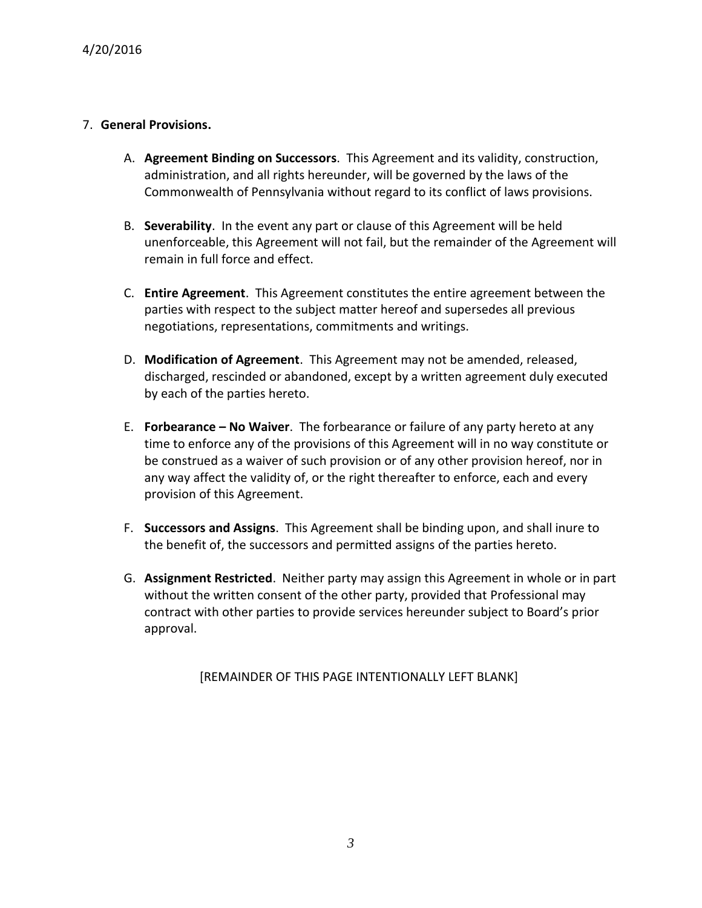### 7. **General Provisions.**

- A. **Agreement Binding on Successors**. This Agreement and its validity, construction, administration, and all rights hereunder, will be governed by the laws of the Commonwealth of Pennsylvania without regard to its conflict of laws provisions.
- B. **Severability**. In the event any part or clause of this Agreement will be held unenforceable, this Agreement will not fail, but the remainder of the Agreement will remain in full force and effect.
- C. **Entire Agreement**. This Agreement constitutes the entire agreement between the parties with respect to the subject matter hereof and supersedes all previous negotiations, representations, commitments and writings.
- D. **Modification of Agreement**. This Agreement may not be amended, released, discharged, rescinded or abandoned, except by a written agreement duly executed by each of the parties hereto.
- E. **Forbearance – No Waiver**. The forbearance or failure of any party hereto at any time to enforce any of the provisions of this Agreement will in no way constitute or be construed as a waiver of such provision or of any other provision hereof, nor in any way affect the validity of, or the right thereafter to enforce, each and every provision of this Agreement.
- F. **Successors and Assigns**. This Agreement shall be binding upon, and shall inure to the benefit of, the successors and permitted assigns of the parties hereto.
- G. **Assignment Restricted**. Neither party may assign this Agreement in whole or in part without the written consent of the other party, provided that Professional may contract with other parties to provide services hereunder subject to Board's prior approval.

[REMAINDER OF THIS PAGE INTENTIONALLY LEFT BLANK]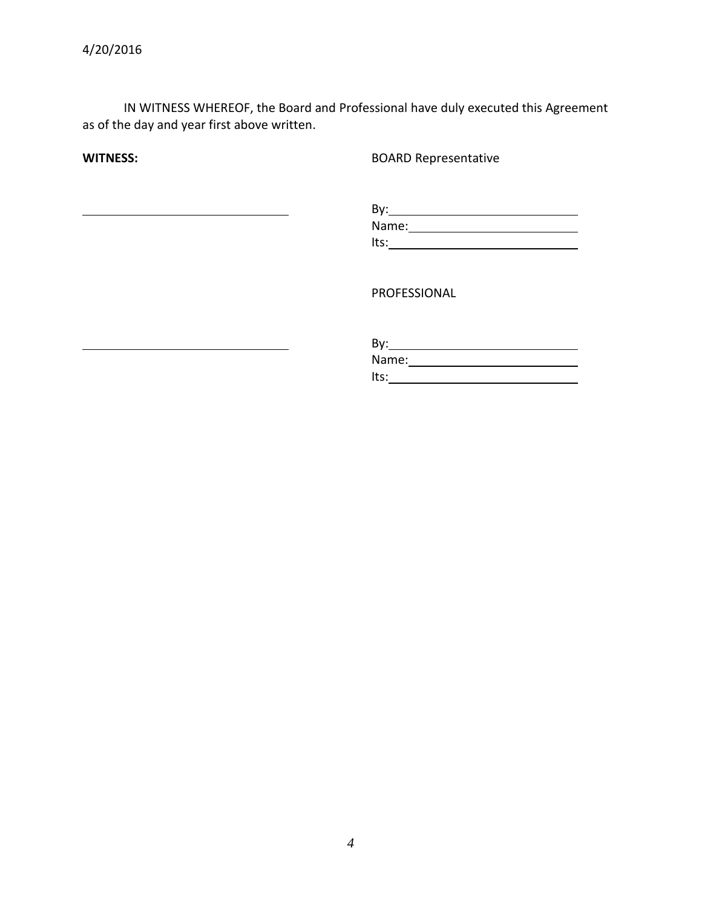IN WITNESS WHEREOF, the Board and Professional have duly executed this Agreement as of the day and year first above written.

**WITNESS:** BOARD Representative

| By:   |  |  |
|-------|--|--|
| Name: |  |  |
| Its:  |  |  |

PROFESSIONAL

| By:   |  |  |
|-------|--|--|
| Name: |  |  |
| Its:  |  |  |